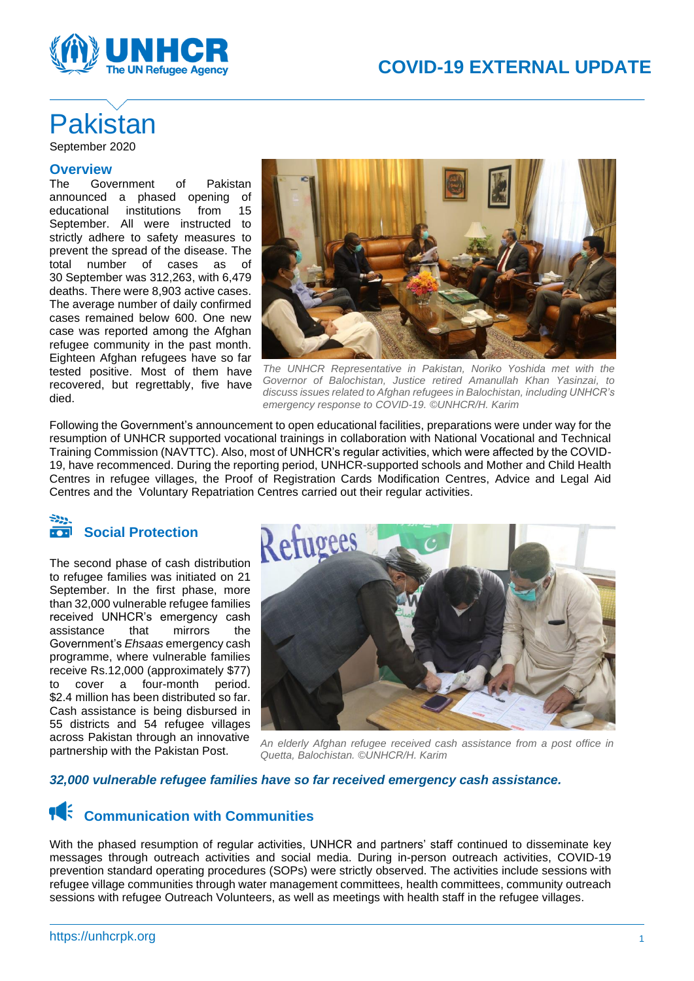



# **Pakistan**

September 2020

### **Overview**

The Government of Pakistan announced a phased opening of educational institutions from 15 September. All were instructed to strictly adhere to safety measures to prevent the spread of the disease. The total number of cases as of 30 September was 312,263, with 6,479 deaths. There were 8,903 active cases. The average number of daily confirmed cases remained below 600. One new case was reported among the Afghan refugee community in the past month. Eighteen Afghan refugees have so far tested positive. Most of them have recovered, but regrettably, five have died.



*The UNHCR Representative in Pakistan, Noriko Yoshida met with the Governor of Balochistan, Justice retired Amanullah Khan Yasinzai, to discuss issues related to Afghan refugees in Balochistan, including UNHCR's emergency response to COVID-19. ©UNHCR/H. Karim*

Following the Government's announcement to open educational facilities, preparations were under way for the resumption of UNHCR supported vocational trainings in collaboration with National Vocational and Technical Training Commission (NAVTTC). Also, most of UNHCR's regular activities, which were affected by the COVID-19, have recommenced. During the reporting period, UNHCR-supported schools and Mother and Child Health Centres in refugee villages, the Proof of Registration Cards Modification Centres, Advice and Legal Aid Centres and the Voluntary Repatriation Centres carried out their regular activities.

### **Social Protection**  $\overline{\cdot \bullet \cdot}$

The second phase of cash distribution to refugee families was initiated on 21 September. In the first phase, more than 32,000 vulnerable refugee families received UNHCR's emergency cash assistance that mirrors the Government's *Ehsaas* emergency cash programme, where vulnerable families receive Rs.12,000 (approximately \$77) to cover a four-month period. \$2.4 million has been distributed so far. Cash assistance is being disbursed in 55 districts and 54 refugee villages across Pakistan through an innovative partnership with the Pakistan Post.



*An elderly Afghan refugee received cash assistance from a post office in Quetta, Balochistan. ©UNHCR/H. Karim*

### *32,000 vulnerable refugee families have so far received emergency cash assistance.*

### **TA:** Communication with Communities

With the phased resumption of regular activities, UNHCR and partners' staff continued to disseminate key messages through outreach activities and social media. During in-person outreach activities, COVID-19 prevention standard operating procedures (SOPs) were strictly observed. The activities include sessions with refugee village communities through water management committees, health committees, community outreach sessions with refugee Outreach Volunteers, as well as meetings with health staff in the refugee villages.